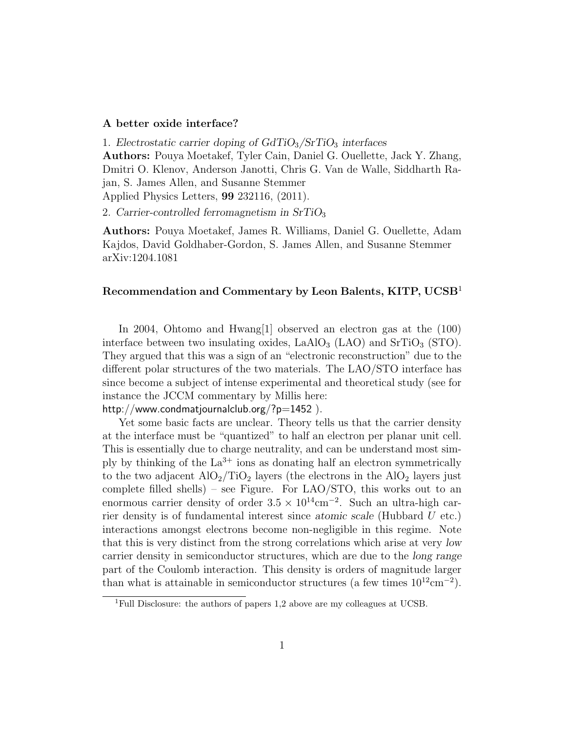## A better oxide interface?

1. Electrostatic carrier doping of  $GdTiO<sub>3</sub>/STiO<sub>3</sub>$  interfaces Authors: Pouya Moetakef, Tyler Cain, Daniel G. Ouellette, Jack Y. Zhang, Dmitri O. Klenov, Anderson Janotti, Chris G. Van de Walle, Siddharth Rajan, S. James Allen, and Susanne Stemmer Applied Physics Letters, 99 232116, (2011).

2. Carrier-controlled ferromagnetism in  $SrTiO<sub>3</sub>$ 

Authors: Pouya Moetakef, James R. Williams, Daniel G. Ouellette, Adam Kajdos, David Goldhaber-Gordon, S. James Allen, and Susanne Stemmer arXiv:1204.1081

## Recommendation and Commentary by Leon Balents, KITP, UCSB<sup>1</sup>

In 2004, Ohtomo and Hwang[1] observed an electron gas at the (100) interface between two insulating oxides,  $LaAlO<sub>3</sub> (LAO)$  and  $SrTiO<sub>3</sub> (STO)$ . They argued that this was a sign of an "electronic reconstruction" due to the different polar structures of the two materials. The LAO/STO interface has since become a subject of intense experimental and theoretical study (see for instance the JCCM commentary by Millis here: http://www.condmatjournalclub.org/? $p=1452$ ).

Yet some basic facts are unclear. Theory tells us that the carrier density at the interface must be "quantized" to half an electron per planar unit cell. This is essentially due to charge neutrality, and can be understand most simply by thinking of the  $La^{3+}$  ions as donating half an electron symmetrically to the two adjacent  $AIO_2/TiO_2$  layers (the electrons in the  $AIO_2$  layers just complete filled shells) – see Figure. For LAO/STO, this works out to an enormous carrier density of order  $3.5 \times 10^{14}$ cm<sup>-2</sup>. Such an ultra-high carrier density is of fundamental interest since atomic scale (Hubbard U etc.) interactions amongst electrons become non-negligible in this regime. Note that this is very distinct from the strong correlations which arise at very low carrier density in semiconductor structures, which are due to the long range part of the Coulomb interaction. This density is orders of magnitude larger than what is attainable in semiconductor structures (a few times  $10^{12}$ cm<sup>-2</sup>).

<sup>&</sup>lt;sup>1</sup>Full Disclosure: the authors of papers 1,2 above are my colleagues at UCSB.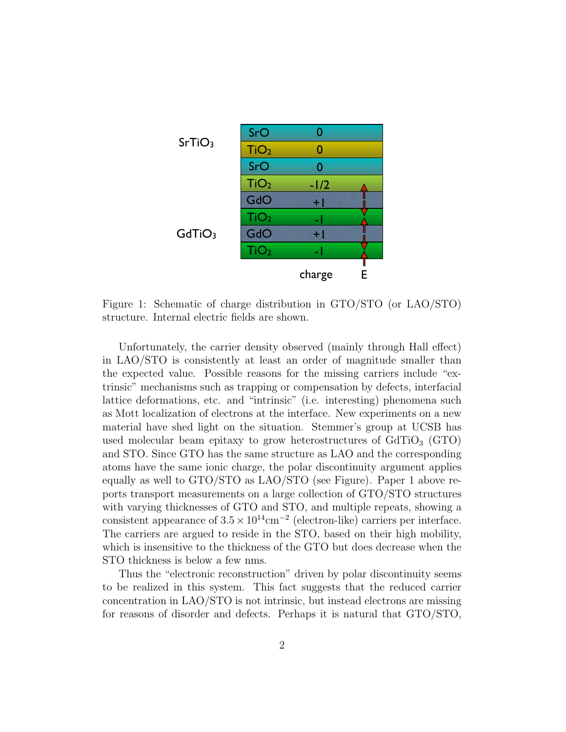

Figure 1: Schematic of charge distribution in GTO/STO (or LAO/STO) structure. Internal electric fields are shown.

Unfortunately, the carrier density observed (mainly through Hall effect) in LAO/STO is consistently at least an order of magnitude smaller than the expected value. Possible reasons for the missing carriers include "extrinsic" mechanisms such as trapping or compensation by defects, interfacial lattice deformations, etc. and "intrinsic" (i.e. interesting) phenomena such as Mott localization of electrons at the interface. New experiments on a new material have shed light on the situation. Stemmer's group at UCSB has used molecular beam epitaxy to grow heterostructures of  $GdTiO<sub>3</sub>$  (GTO) and STO. Since GTO has the same structure as LAO and the corresponding atoms have the same ionic charge, the polar discontinuity argument applies equally as well to GTO/STO as LAO/STO (see Figure). Paper 1 above reports transport measurements on a large collection of GTO/STO structures with varying thicknesses of GTO and STO, and multiple repeats, showing a consistent appearance of  $3.5 \times 10^{14}$ cm<sup>-2</sup> (electron-like) carriers per interface. The carriers are argued to reside in the STO, based on their high mobility, which is insensitive to the thickness of the GTO but does decrease when the STO thickness is below a few nms.

Thus the "electronic reconstruction" driven by polar discontinuity seems to be realized in this system. This fact suggests that the reduced carrier concentration in LAO/STO is not intrinsic, but instead electrons are missing for reasons of disorder and defects. Perhaps it is natural that GTO/STO,